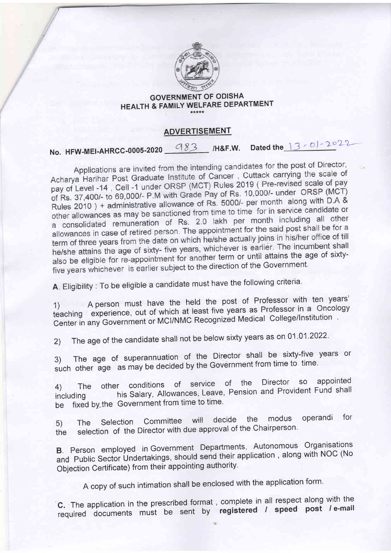

### GOVERNMENT OF ODISHA HEALTH & FAMILY WELFARE DEPARTMENT

### ADVERTISEMENT

# No. HFW-MEI-AHRCC-0005-2020  $-983$  /H&F.W. Dated the  $13-01-2022$

Applications are invited from the intending candidates for the post of Director, Applications are invited from the intending candidates for the principle<br>Acharya Harihar Post Graduate Institute of Cancer, Cuttack carrying the scale of Acharya Harihar Post Graduate Institute of Cancer, Cuttack Carrying the Seate<br>pay of Level -14, Cell -1 under ORSP (MCT) Rules 2019 (Pre-revised scale of pay pay of Level -14, Cell -1 under ORSP (MCT) Rules 2019 (The forecast ORSP (MCT)<br>of Rs. 37,400/- to 69,000/- P.M with Grade Pay of Rs. 10,000/- under ORSP (MCT) of Rs. 37,400/- to 69,000/- P.M with Grade Pay of Rs. 10,000/- drider Crici.<br>Rules 2010 ) + administrative allowance of Rs. 5000/- per month along with D.A & Rules 2010) + administrative allowance of Ks. 5000, per memory cannot allow other allowances as may be sanctioned from time to time for in service candidate or other allowances as may be saffed from the country form.<br>a consolidated remuneration of Rs. 2.0 lakh per month including all other a consolidated remuneration of RS. 2.0 land per month measures in the for a<br>allowances in case of retired person. The appointment for the said post shall be for a allowances in case of retired person. The appointment for the same post-<br>term of three years from the date on which he/she actually joins in his/her office of till he/she attains the age of sixty- five years, whichever is earlier. The incumbent shall also be eligible for re-appointment for another term or until attains the age of sixtyfive years whichever is earlier subject to the direction of the Government.

A. Eligibility : To be eligible a candidate must have the following criteria.

1) A person must have the held the post of Professor with ten years' teaching experience, out of which at least five years as Professor in a oncology Center in any Government or MCI/NMC Recognized Medical College/Institution.

2) The age of the candidate shall not be below sixty years as on 01.01.2022.

3) The age of superannuation of the Director shall be sixty-five years or such other age as may be decided by the Government from time to time

4) The other conditions of service of the Director so appointed<br>Approvident Fund sha including-his Salary, Allowances, Leave, Pension and Provident Fund share including his Salary, Allowances, Leave,<br>be fixed by the Government from time to time.

5) The Selection Committee will decide the modus operandi for the selection of the Director with due approval of the Chairperson

B. Person employed in Government Departments, Autonomous Organisations and Public Sector Undertakings, should send their application, along with NOC (No Objection Certificate) from their appointing authority.

<sup>A</sup>copy of such intimation shall be enclosed with the application form'

'C. The application in the prescribed format , complete in all respect along with the required documents must be sent by registered / speed post / e-mail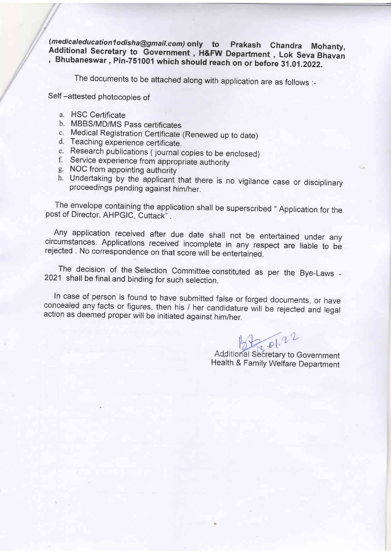(*medicaleducation1odisha@gmail.com)* only to Prakash Chandra Mohanty<br>Additional Secretary to Government , H&FW Department , Lok Seva Bhavan<br>Rhubaneswar, Bin 754004 which die . , Bhubaneswar , Pin-751001 which should reach on or before 31.01 .2022.

The documents to be attached along with application are as follows :-

Self-attested photocopies of

- a. HSC Certificate
- b. MBBS/MD/MS pass certificates
- c. Medical Registration certificate (Renewed up to date) d. Teaching experience certificate.
- 
- e. Research publications (journal copies to be enclosed)<br>f. Service experience from appropriate authority<br>g. NOC from appointing authority
- 
- 
- h. Undertaking by the applicant that there is no vigilance case or disciplinary proceedings pending against him/her.

The envelope containing the application shall be superscribed " Application for the post of Director, AHPGIC, Cuttack".

Any application received after due date shall not be entertained under any circumstances. Applications received incomplete in any respect are liable to be rejected . No correspondence on that score will be entertained.

The decision of the Selection Committee constituted as per the Bye-Laws - 2021 shall be final and binding for such selection.

In case of person is found to have submitted false or forged documents, or have concealed any facts or figures, then his / her candidature will be rejected and legal action as deemed proper will be initiated against him/he

 $B, B1, 22$ 

Additional Secretary to Government Health & Family Welfare Department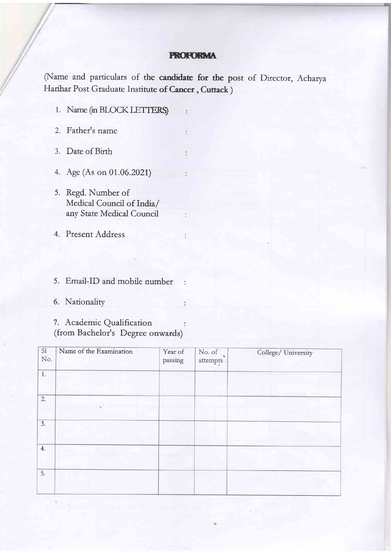#### PROFORMA

(Name and particulars of the candidate for the post of Director, Acharya Harihar Post Graduate Institute o**f Cancer , Cuttack** )

 $\ddot{\cdot}$ 

÷

ŧ

 $\ddot{\ddot{\psi}}$ 

ï

- 1. Name (in BLOCK LETTERS)
- 2. Father's name
- 3. Date of Birth
- 4. Age (As on 01 .06.2021)
- 5. Regd. Number of Medical Council of India/ any State Medical Council
- Present Address 4.
- 5. Email-ID and mobile number
- 6. Nationality

7. Academic Qualification  $\ddot{\cdot}$ (from Bachelor's Degree onwards)

| SI<br>No         | Name of the Examination | Year of<br>passing | $\,$ No. of $\,$<br>attempts | College/ University |
|------------------|-------------------------|--------------------|------------------------------|---------------------|
| 1.               |                         |                    |                              |                     |
| 2.               |                         |                    |                              |                     |
| $\overline{3}$ . |                         |                    |                              |                     |
| 4.               |                         |                    |                              |                     |
| 5.               |                         |                    |                              |                     |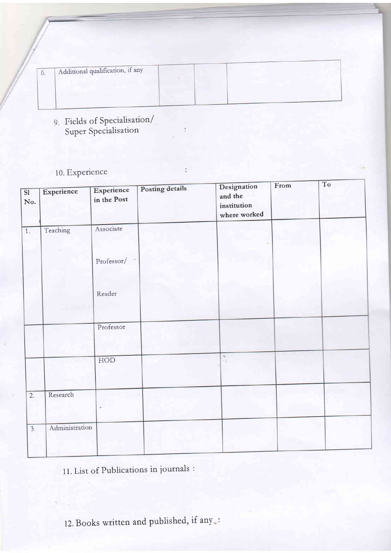| $\mathbf{U}$ | Additional qualification, if any |  |  |
|--------------|----------------------------------|--|--|
|              |                                  |  |  |
|              |                                  |  |  |

- 9. Fields of Specialisation/<br>Super Specialisation
- 10. Experience

| $\overline{\mathbf{S1}}$<br>No. | Experience     | Experience<br>in the Post | Posting details | Designation<br>and the<br>institution<br>where worked | From | To |  |
|---------------------------------|----------------|---------------------------|-----------------|-------------------------------------------------------|------|----|--|
| 1.                              | Teaching       | Associate                 |                 |                                                       |      |    |  |
|                                 |                | Professor/                |                 |                                                       |      |    |  |
|                                 |                | Reader                    |                 |                                                       |      |    |  |
|                                 |                | Professor                 |                 |                                                       |      |    |  |
|                                 |                | HOD                       |                 | $\mathbf{v}$                                          |      |    |  |
| $\overline{2}$ .                | Research       | ¢                         |                 |                                                       |      |    |  |
| 3.5                             | Administration |                           |                 |                                                       |      |    |  |

## 11. List of Publications in journals :

12. Books written and published, if any.: